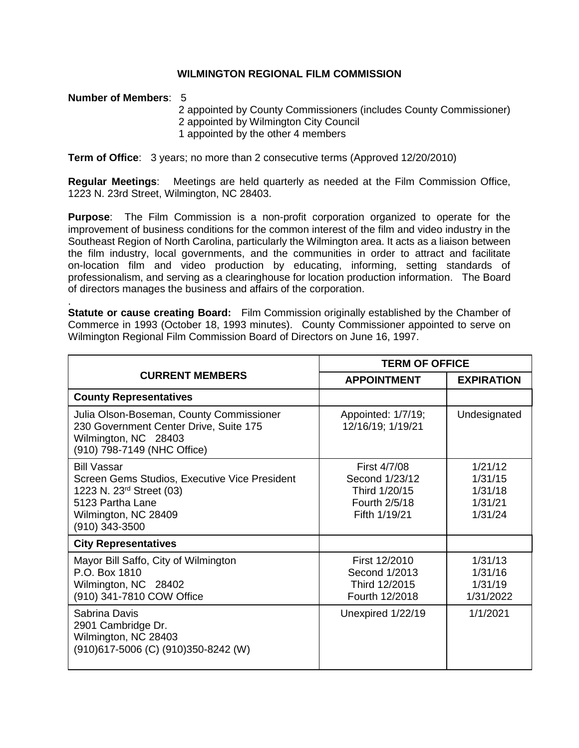## **WILMINGTON REGIONAL FILM COMMISSION**

## **Number of Members**: 5

.

2 appointed by County Commissioners (includes County Commissioner) 2 appointed by Wilmington City Council 1 appointed by the other 4 members

**Term of Office**: 3 years; no more than 2 consecutive terms (Approved 12/20/2010)

**Regular Meetings**: Meetings are held quarterly as needed at the Film Commission Office, 1223 N. 23rd Street, Wilmington, NC 28403.

**Purpose**: The Film Commission is a non-profit corporation organized to operate for the improvement of business conditions for the common interest of the film and video industry in the Southeast Region of North Carolina, particularly the Wilmington area. It acts as a liaison between the film industry, local governments, and the communities in order to attract and facilitate on-location film and video production by educating, informing, setting standards of professionalism, and serving as a clearinghouse for location production information. The Board of directors manages the business and affairs of the corporation.

**Statute or cause creating Board:** Film Commission originally established by the Chamber of Commerce in 1993 (October 18, 1993 minutes). County Commissioner appointed to serve on Wilmington Regional Film Commission Board of Directors on June 16, 1997.

| <b>CURRENT MEMBERS</b>                                                                                                                                                    | <b>TERM OF OFFICE</b>                                                             |                                                     |
|---------------------------------------------------------------------------------------------------------------------------------------------------------------------------|-----------------------------------------------------------------------------------|-----------------------------------------------------|
|                                                                                                                                                                           | <b>APPOINTMENT</b>                                                                | <b>EXPIRATION</b>                                   |
| <b>County Representatives</b>                                                                                                                                             |                                                                                   |                                                     |
| Julia Olson-Boseman, County Commissioner<br>230 Government Center Drive, Suite 175<br>Wilmington, NC 28403<br>(910) 798-7149 (NHC Office)                                 | Appointed: 1/7/19;<br>12/16/19; 1/19/21                                           | Undesignated                                        |
| <b>Bill Vassar</b><br>Screen Gems Studios, Executive Vice President<br>1223 N. 23 <sup>rd</sup> Street (03)<br>5123 Partha Lane<br>Wilmington, NC 28409<br>(910) 343-3500 | First 4/7/08<br>Second 1/23/12<br>Third 1/20/15<br>Fourth 2/5/18<br>Fifth 1/19/21 | 1/21/12<br>1/31/15<br>1/31/18<br>1/31/21<br>1/31/24 |
| <b>City Representatives</b>                                                                                                                                               |                                                                                   |                                                     |
| Mayor Bill Saffo, City of Wilmington<br>P.O. Box 1810<br>Wilmington, NC 28402<br>(910) 341-7810 COW Office                                                                | First 12/2010<br>Second 1/2013<br>Third 12/2015<br>Fourth 12/2018                 | 1/31/13<br>1/31/16<br>1/31/19<br>1/31/2022          |
| Sabrina Davis<br>2901 Cambridge Dr.<br>Wilmington, NC 28403<br>(910)617-5006 (C) (910)350-8242 (W)                                                                        | Unexpired 1/22/19                                                                 | 1/1/2021                                            |